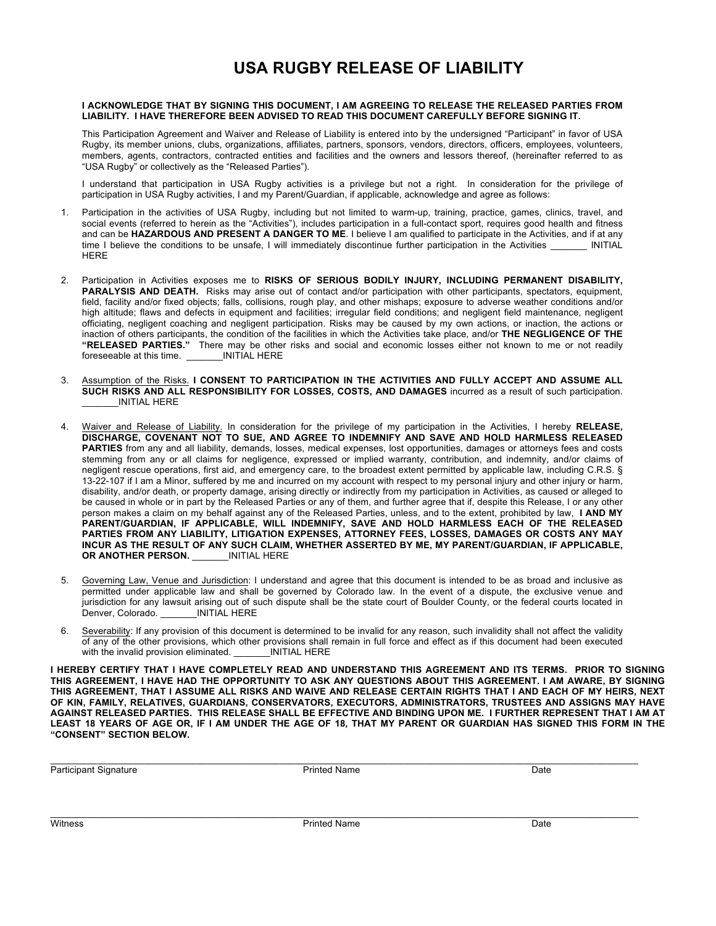## **USA RUGBY RELEASE OF LIABILITY**

#### **I ACKNOWLEDGE THAT BY SIGNING THIS DOCUMENT, I AM AGREEING TO RELEASE THE RELEASED PARTIES FROM LIABILITY. I HAVE THEREFORE BEEN ADVISED TO READ THIS DOCUMENT CAREFULLY BEFORE SIGNING IT.**

This Participation Agreement and Waiver and Release of Liability is entered into by the undersigned "Participant" in favor of USA Rugby, its member unions, clubs, organizations, affiliates, partners, sponsors, vendors, directors, officers, employees, volunteers, members, agents, contractors, contracted entities and facilities and the owners and lessors thereof, (hereinafter referred to as "USA Rugby" or collectively as the "Released Parties").

I understand that participation in USA Rugby activities is a privilege but not a right. In consideration for the privilege of participation in USA Rugby activities, I and my Parent/Guardian, if applicable, acknowledge and agree as follows:

- 1. Participation in the activities of USA Rugby, including but not limited to warm-up, training, practice, games, clinics, travel, and social events (referred to herein as the "Activities"), includes participation in a full-contact sport, requires good health and fitness and can be **HAZARDOUS AND PRESENT A DANGER TO ME**. I believe I am qualified to participate in the Activities, and if at any time I believe the conditions to be unsafe, I will immediately discontinue further participation in the Activities [NITIAL] HERE
- 2. Participation in Activities exposes me to **RISKS OF SERIOUS BODILY INJURY, INCLUDING PERMANENT DISABILITY, PARALYSIS AND DEATH.** Risks may arise out of contact and/or participation with other participants, spectators, equipment, field, facility and/or fixed objects; falls, collisions, rough play, and other mishaps; exposure to adverse weather conditions and/or high altitude; flaws and defects in equipment and facilities; irregular field conditions; and negligent field maintenance, negligent officiating, negligent coaching and negligent participation. Risks may be caused by my own actions, or inaction, the actions or inaction of others participants, the condition of the facilities in which the Activities take place, and/or **THE NEGLIGENCE OF THE "RELEASED PARTIES."** There may be other risks and social and economic losses either not known to me or not readily foreseeable at this time. \_\_\_\_\_\_\_\_INITIAL HERE
- 3. Assumption of the Risks. **I CONSENT TO PARTICIPATION IN THE ACTIVITIES AND FULLY ACCEPT AND ASSUME ALL SUCH RISKS AND ALL RESPONSIBILITY FOR LOSSES, COSTS, AND DAMAGES** incurred as a result of such participation. \_\_\_\_\_\_\_INITIAL HERE
- 4. Waiver and Release of Liability. In consideration for the privilege of my participation in the Activities, I hereby **RELEASE, DISCHARGE, COVENANT NOT TO SUE, AND AGREE TO INDEMNIFY AND SAVE AND HOLD HARMLESS RELEASED PARTIES** from any and all liability, demands, losses, medical expenses, lost opportunities, damages or attorneys fees and costs stemming from any or all claims for negligence, expressed or implied warranty, contribution, and indemnity, and/or claims of negligent rescue operations, first aid, and emergency care, to the broadest extent permitted by applicable law, including C.R.S. § 13-22-107 if I am a Minor, suffered by me and incurred on my account with respect to my personal injury and other injury or harm, disability, and/or death, or property damage, arising directly or indirectly from my participation in Activities, as caused or alleged to be caused in whole or in part by the Released Parties or any of them, and further agree that if, despite this Release, I or any other person makes a claim on my behalf against any of the Released Parties, unless, and to the extent, prohibited by law, **I AND MY PARENT/GUARDIAN, IF APPLICABLE, WILL INDEMNIFY, SAVE AND HOLD HARMLESS EACH OF THE RELEASED PARTIES FROM ANY LIABILITY, LITIGATION EXPENSES, ATTORNEY FEES, LOSSES, DAMAGES OR COSTS ANY MAY INCUR AS THE RESULT OF ANY SUCH CLAIM, WHETHER ASSERTED BY ME, MY PARENT/GUARDIAN, IF APPLICABLE, OR ANOTHER PERSON.** \_\_\_\_\_\_\_INITIAL HERE
- 5. Governing Law, Venue and Jurisdiction: I understand and agree that this document is intended to be as broad and inclusive as permitted under applicable law and shall be governed by Colorado law. In the event of a dispute, the exclusive venue and jurisdiction for any lawsuit arising out of such dispute shall be the state court of Boulder County, or the federal courts located in Denver, Colorado.
- 6. Severability: If any provision of this document is determined to be invalid for any reason, such invalidity shall not affect the validity of any of the other provisions, which other provisions shall remain in full force and effect as if this document had been executed with the invalid provision eliminated.

**I HEREBY CERTIFY THAT I HAVE COMPLETELY READ AND UNDERSTAND THIS AGREEMENT AND ITS TERMS. PRIOR TO SIGNING THIS AGREEMENT, I HAVE HAD THE OPPORTUNITY TO ASK ANY QUESTIONS ABOUT THIS AGREEMENT. I AM AWARE, BY SIGNING THIS AGREEMENT, THAT I ASSUME ALL RISKS AND WAIVE AND RELEASE CERTAIN RIGHTS THAT I AND EACH OF MY HEIRS, NEXT OF KIN, FAMILY, RELATIVES, GUARDIANS, CONSERVATORS, EXECUTORS, ADMINISTRATORS, TRUSTEES AND ASSIGNS MAY HAVE AGAINST RELEASED PARTIES. THIS RELEASE SHALL BE EFFECTIVE AND BINDING UPON ME. I FURTHER REPRESENT THAT I AM AT LEAST 18 YEARS OF AGE OR, IF I AM UNDER THE AGE OF 18, THAT MY PARENT OR GUARDIAN HAS SIGNED THIS FORM IN THE "CONSENT" SECTION BELOW.**

| Participant Signature | <b>Printed Name</b> | Date |
|-----------------------|---------------------|------|
|-----------------------|---------------------|------|

 $\mathcal{L}_\mathcal{L} = \{ \mathcal{L}_\mathcal{L} = \{ \mathcal{L}_\mathcal{L} = \{ \mathcal{L}_\mathcal{L} = \{ \mathcal{L}_\mathcal{L} = \{ \mathcal{L}_\mathcal{L} = \{ \mathcal{L}_\mathcal{L} = \{ \mathcal{L}_\mathcal{L} = \{ \mathcal{L}_\mathcal{L} = \{ \mathcal{L}_\mathcal{L} = \{ \mathcal{L}_\mathcal{L} = \{ \mathcal{L}_\mathcal{L} = \{ \mathcal{L}_\mathcal{L} = \{ \mathcal{L}_\mathcal{L} = \{ \mathcal{L}_\mathcal{$